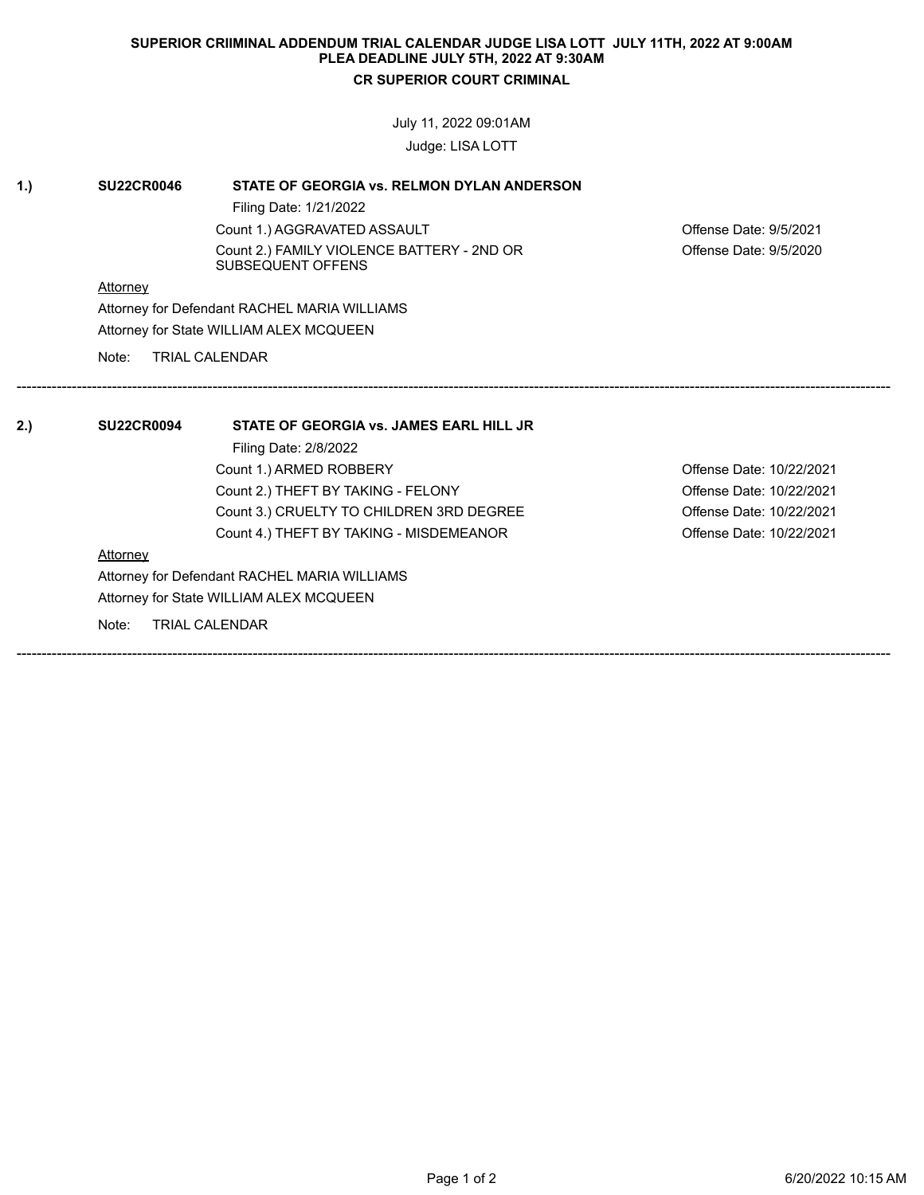## **SUPERIOR CRIIMINAL ADDENDUM TRIAL CALENDAR JUDGE LISA LOTT JULY 11TH, 2022 AT 9:00AM PLEA DEADLINE JULY 5TH, 2022 AT 9:30AM CR SUPERIOR COURT CRIMINAL**

July 11, 2022 09:01AM

Judge: LISA LOTT

| 1.  | <b>SU22CR0046</b>                            | STATE OF GEORGIA vs. RELMON DYLAN ANDERSON                      |                          |  |
|-----|----------------------------------------------|-----------------------------------------------------------------|--------------------------|--|
|     |                                              | Filing Date: 1/21/2022                                          |                          |  |
|     |                                              | Count 1.) AGGRAVATED ASSAULT                                    | Offense Date: 9/5/2021   |  |
|     |                                              | Count 2.) FAMILY VIOLENCE BATTERY - 2ND OR<br>SUBSEQUENT OFFENS | Offense Date: 9/5/2020   |  |
|     | <b>Attorney</b>                              |                                                                 |                          |  |
|     | Attorney for Defendant RACHEL MARIA WILLIAMS |                                                                 |                          |  |
|     |                                              | Attorney for State WILLIAM ALEX MCQUEEN                         |                          |  |
|     | Note:                                        | <b>TRIAL CALENDAR</b>                                           |                          |  |
|     |                                              |                                                                 |                          |  |
|     |                                              |                                                                 |                          |  |
|     |                                              |                                                                 |                          |  |
|     | <b>SU22CR0094</b>                            | STATE OF GEORGIA vs. JAMES EARL HILL JR                         |                          |  |
|     |                                              | Filing Date: 2/8/2022                                           |                          |  |
|     |                                              | Count 1.) ARMED ROBBERY                                         | Offense Date: 10/22/2021 |  |
|     |                                              | Count 2.) THEFT BY TAKING - FELONY                              | Offense Date: 10/22/2021 |  |
|     |                                              | Count 3.) CRUELTY TO CHILDREN 3RD DEGREE                        | Offense Date: 10/22/2021 |  |
| 2.) |                                              | Count 4.) THEFT BY TAKING - MISDEMEANOR                         | Offense Date: 10/22/2021 |  |
|     | <b>Attorney</b>                              |                                                                 |                          |  |
|     |                                              | Attorney for Defendant RACHEL MARIA WILLIAMS                    |                          |  |
|     |                                              | Attorney for State WILLIAM ALEX MCQUEEN                         |                          |  |